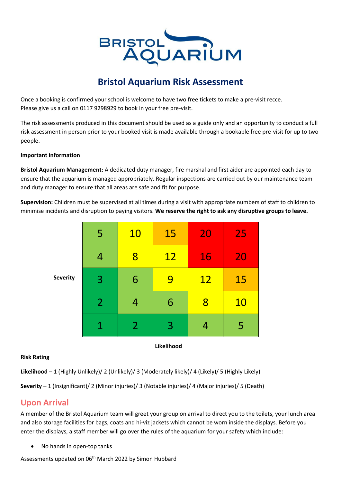

# **Bristol Aquarium Risk Assessment**

Once a booking is confirmed your school is welcome to have two free tickets to make a pre-visit recce. Please give us a call on 0117 9298929 to book in your free pre-visit.

The risk assessments produced in this document should be used as a guide only and an opportunity to conduct a full risk assessment in person prior to your booked visit is made available through a bookable free pre-visit for up to two people.

#### **Important information**

**Bristol Aquarium Management:** A dedicated duty manager, fire marshal and first aider are appointed each day to ensure that the aquarium is managed appropriately. Regular inspections are carried out by our maintenance team and duty manager to ensure that all areas are safe and fit for purpose.

**Supervision:** Children must be supervised at all times during a visit with appropriate numbers of staff to children to minimise incidents and disruption to paying visitors. **We reserve the right to ask any disruptive groups to leave.**

| <b>Severity</b> | 5              | <b>10</b>      | 15        | 20        | 25        |
|-----------------|----------------|----------------|-----------|-----------|-----------|
|                 | 4              | 8              | <b>12</b> | 16        | 20        |
|                 | 3              | 6              | 9         | <b>12</b> | 15        |
|                 | $\overline{2}$ | 4              | 6         | 8         | <b>10</b> |
|                 | 1              | $\overline{2}$ | 3         | 4         | 5         |

#### **Likelihood**

#### **Risk Rating**

**Likelihood** – 1 (Highly Unlikely)/ 2 (Unlikely)/ 3 (Moderately likely)/ 4 (Likely)/ 5 (Highly Likely)

**Severity** – 1 (Insignificant)/ 2 (Minor injuries)/ 3 (Notable injuries)/ 4 (Major injuries)/ 5 (Death)

### **Upon Arrival**

A member of the Bristol Aquarium team will greet your group on arrival to direct you to the toilets, your lunch area and also storage facilities for bags, coats and hi-viz jackets which cannot be worn inside the displays. Before you enter the displays, a staff member will go over the rules of the aquarium for your safety which include:

• No hands in open-top tanks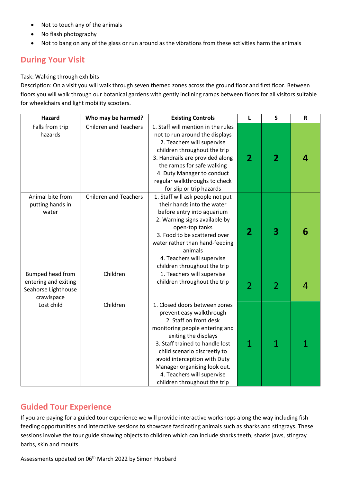- Not to touch any of the animals
- No flash photography
- Not to bang on any of the glass or run around as the vibrations from these activities harm the animals

## **During Your Visit**

#### Task: Walking through exhibits

Description: On a visit you will walk through seven themed zones across the ground floor and first floor. Between floors you will walk through our botanical gardens with gently inclining ramps between floors for all visitors suitable for wheelchairs and light mobility scooters.

| <b>Hazard</b>                                                                 | Who may be harmed?           | <b>Existing Controls</b>                                                                                                                                                                                                                                                                                                                       | L              | $\mathsf{s}$            | $\mathsf{R}$ |
|-------------------------------------------------------------------------------|------------------------------|------------------------------------------------------------------------------------------------------------------------------------------------------------------------------------------------------------------------------------------------------------------------------------------------------------------------------------------------|----------------|-------------------------|--------------|
| Falls from trip<br>hazards                                                    | <b>Children and Teachers</b> | 1. Staff will mention in the rules<br>not to run around the displays<br>2. Teachers will supervise<br>children throughout the trip<br>3. Handrails are provided along<br>the ramps for safe walking<br>4. Duty Manager to conduct<br>regular walkthroughs to check<br>for slip or trip hazards                                                 | $\overline{2}$ | $\overline{\mathbf{2}}$ | 4            |
| Animal bite from<br>putting hands in<br>water                                 | <b>Children and Teachers</b> | 1. Staff will ask people not put<br>their hands into the water<br>before entry into aquarium<br>2. Warning signs available by<br>open-top tanks<br>3. Food to be scattered over<br>water rather than hand-feeding<br>animals<br>4. Teachers will supervise<br>children throughout the trip                                                     | $\overline{2}$ | 3                       | 6            |
| Bumped head from<br>entering and exiting<br>Seahorse Lighthouse<br>crawlspace | Children                     | 1. Teachers will supervise<br>children throughout the trip                                                                                                                                                                                                                                                                                     | $\overline{2}$ | $\overline{2}$          |              |
| Lost child                                                                    | Children                     | 1. Closed doors between zones<br>prevent easy walkthrough<br>2. Staff on front desk<br>monitoring people entering and<br>exiting the displays<br>3. Staff trained to handle lost<br>child scenario discreetly to<br>avoid interception with Duty<br>Manager organising look out.<br>4. Teachers will supervise<br>children throughout the trip | 1              | 1                       |              |

### **Guided Tour Experience**

If you are paying for a guided tour experience we will provide interactive workshops along the way including fish feeding opportunities and interactive sessions to showcase fascinating animals such as sharks and stingrays. These sessions involve the tour guide showing objects to children which can include sharks teeth, sharks jaws, stingray barbs, skin and moults.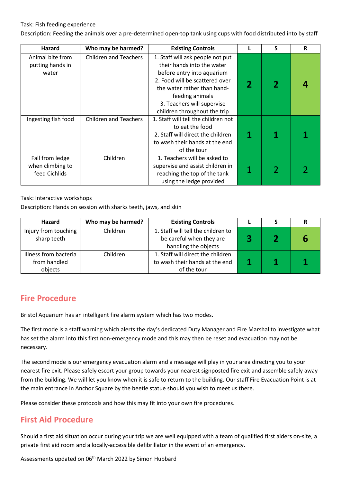#### Task: Fish feeding experience

Description: Feeding the animals over a pre-determined open-top tank using cups with food distributed into by staff

| Hazard                                               | Who may be harmed?           | <b>Existing Controls</b>                                                                                                                                                                                                                       |   | S              | R |
|------------------------------------------------------|------------------------------|------------------------------------------------------------------------------------------------------------------------------------------------------------------------------------------------------------------------------------------------|---|----------------|---|
| Animal bite from<br>putting hands in<br>water        | <b>Children and Teachers</b> | 1. Staff will ask people not put<br>their hands into the water<br>before entry into aquarium<br>2. Food will be scattered over<br>the water rather than hand-<br>feeding animals<br>3. Teachers will supervise<br>children throughout the trip |   | 2              |   |
| Ingesting fish food                                  | <b>Children and Teachers</b> | 1. Staff will tell the children not<br>to eat the food<br>2. Staff will direct the children<br>to wash their hands at the end<br>of the tour                                                                                                   | 1 |                |   |
| Fall from ledge<br>when climbing to<br>feed Cichlids | Children                     | 1. Teachers will be asked to<br>supervise and assist children in<br>reaching the top of the tank<br>using the ledge provided                                                                                                                   |   | $\overline{2}$ |   |

#### Task: Interactive workshops

Description: Hands on session with sharks teeth, jaws, and skin

| <b>Hazard</b>                       | Who may be harmed? | <b>Existing Controls</b>                                       |  |  |
|-------------------------------------|--------------------|----------------------------------------------------------------|--|--|
| Injury from touching<br>sharp teeth | Children           | 1. Staff will tell the children to<br>be careful when they are |  |  |
|                                     |                    | handling the objects                                           |  |  |
| Illness from bacteria               | Children           | 1. Staff will direct the children                              |  |  |
| from handled                        |                    | to wash their hands at the end                                 |  |  |
| objects                             |                    | of the tour                                                    |  |  |

### **Fire Procedure**

Bristol Aquarium has an intelligent fire alarm system which has two modes.

The first mode is a staff warning which alerts the day's dedicated Duty Manager and Fire Marshal to investigate what has set the alarm into this first non-emergency mode and this may then be reset and evacuation may not be necessary.

The second mode is our emergency evacuation alarm and a message will play in your area directing you to your nearest fire exit. Please safely escort your group towards your nearest signposted fire exit and assemble safely away from the building. We will let you know when it is safe to return to the building. Our staff Fire Evacuation Point is at the main entrance in Anchor Square by the beetle statue should you wish to meet us there.

Please consider these protocols and how this may fit into your own fire procedures.

### **First Aid Procedure**

Should a first aid situation occur during your trip we are well equipped with a team of qualified first aiders on-site, a private first aid room and a locally-accessible defibrillator in the event of an emergency.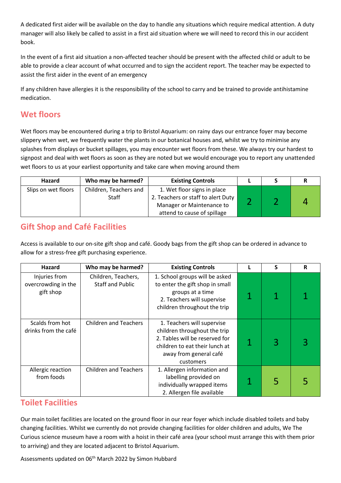A dedicated first aider will be available on the day to handle any situations which require medical attention. A duty manager will also likely be called to assist in a first aid situation where we will need to record this in our accident book.

In the event of a first aid situation a non-affected teacher should be present with the affected child or adult to be able to provide a clear account of what occurred and to sign the accident report. The teacher may be expected to assist the first aider in the event of an emergency

If any children have allergies it is the responsibility of the school to carry and be trained to provide antihistamine medication.

## **Wet floors**

Wet floors may be encountered during a trip to Bristol Aquarium: on rainy days our entrance foyer may become slippery when wet, we frequently water the plants in our botanical houses and, whilst we try to minimise any splashes from displays or bucket spillages, you may encounter wet floors from these. We always try our hardest to signpost and deal with wet floors as soon as they are noted but we would encourage you to report any unattended wet floors to us at your earliest opportunity and take care when moving around them

| Hazard              | Who may be harmed?                     | <b>Existing Controls</b>                                        |  |  |
|---------------------|----------------------------------------|-----------------------------------------------------------------|--|--|
| Slips on wet floors | Children, Teachers and<br><b>Staff</b> | 1. Wet floor signs in place                                     |  |  |
|                     |                                        | 2. Teachers or staff to alert Duty<br>Manager or Maintenance to |  |  |
|                     |                                        | attend to cause of spillage                                     |  |  |

## **Gift Shop and Café Facilities**

Access is available to our on-site gift shop and café. Goody bags from the gift shop can be ordered in advance to allow for a stress-free gift purchasing experience.

| Hazard                                            | Who may be harmed?                             | <b>Existing Controls</b>                                                                                                                                              | S | R |
|---------------------------------------------------|------------------------------------------------|-----------------------------------------------------------------------------------------------------------------------------------------------------------------------|---|---|
| Injuries from<br>overcrowding in the<br>gift shop | Children, Teachers,<br><b>Staff and Public</b> | 1. School groups will be asked<br>to enter the gift shop in small<br>groups at a time<br>2. Teachers will supervise<br>children throughout the trip                   |   |   |
| Scalds from hot<br>drinks from the café           | <b>Children and Teachers</b>                   | 1. Teachers will supervise<br>children throughout the trip<br>2. Tables will be reserved for<br>children to eat their lunch at<br>away from general café<br>customers | 3 |   |
| Allergic reaction<br>from foods                   | <b>Children and Teachers</b>                   | 1. Allergen information and<br>labelling provided on<br>individually wrapped items<br>2. Allergen file available                                                      | 5 |   |

### **Toilet Facilities**

Our main toilet facilities are located on the ground floor in our rear foyer which include disabled toilets and baby changing facilities. Whilst we currently do not provide changing facilities for older children and adults, We The Curious science museum have a room with a hoist in their café area (your school must arrange this with them prior to arriving) and they are located adjacent to Bristol Aquarium.